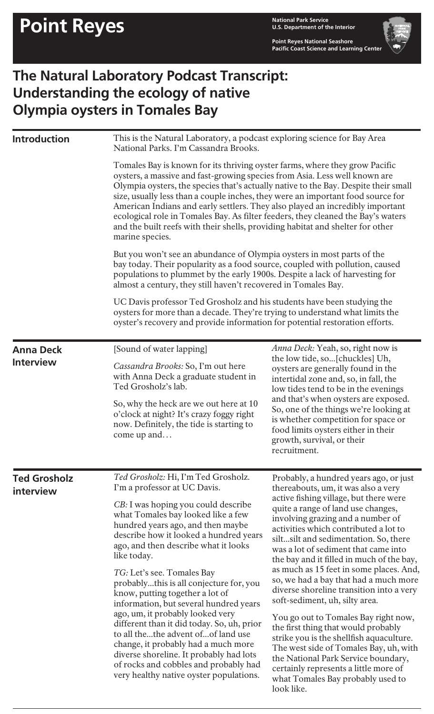**Point Reyes National Seashore Pacific Coast Science and Learning Center**

## **The Natural Laboratory Podcast Transcript: Understanding the ecology of native Olympia oysters in Tomales Bay**

| <b>Introduction</b>              | This is the Natural Laboratory, a podcast exploring science for Bay Area<br>National Parks. I'm Cassandra Brooks.                                                                                                                                                                                                                                                                                                                                                                                                                                                                                                                                                                                                                          |                                                                                                                                                                                                                                                                                                                                                                                                                                                                                                                                                                                                                                                                                                                                                                                                                                                     |  |
|----------------------------------|--------------------------------------------------------------------------------------------------------------------------------------------------------------------------------------------------------------------------------------------------------------------------------------------------------------------------------------------------------------------------------------------------------------------------------------------------------------------------------------------------------------------------------------------------------------------------------------------------------------------------------------------------------------------------------------------------------------------------------------------|-----------------------------------------------------------------------------------------------------------------------------------------------------------------------------------------------------------------------------------------------------------------------------------------------------------------------------------------------------------------------------------------------------------------------------------------------------------------------------------------------------------------------------------------------------------------------------------------------------------------------------------------------------------------------------------------------------------------------------------------------------------------------------------------------------------------------------------------------------|--|
|                                  | Tomales Bay is known for its thriving oyster farms, where they grow Pacific<br>oysters, a massive and fast-growing species from Asia. Less well known are<br>Olympia oysters, the species that's actually native to the Bay. Despite their small<br>size, usually less than a couple inches, they were an important food source for<br>American Indians and early settlers. They also played an incredibly important<br>ecological role in Tomales Bay. As filter feeders, they cleaned the Bay's waters<br>and the built reefs with their shells, providing habitat and shelter for other<br>marine species.                                                                                                                              |                                                                                                                                                                                                                                                                                                                                                                                                                                                                                                                                                                                                                                                                                                                                                                                                                                                     |  |
|                                  | But you won't see an abundance of Olympia oysters in most parts of the<br>bay today. Their popularity as a food source, coupled with pollution, caused<br>populations to plummet by the early 1900s. Despite a lack of harvesting for<br>almost a century, they still haven't recovered in Tomales Bay.<br>UC Davis professor Ted Grosholz and his students have been studying the<br>oysters for more than a decade. They're trying to understand what limits the<br>oyster's recovery and provide information for potential restoration efforts.                                                                                                                                                                                         |                                                                                                                                                                                                                                                                                                                                                                                                                                                                                                                                                                                                                                                                                                                                                                                                                                                     |  |
|                                  |                                                                                                                                                                                                                                                                                                                                                                                                                                                                                                                                                                                                                                                                                                                                            |                                                                                                                                                                                                                                                                                                                                                                                                                                                                                                                                                                                                                                                                                                                                                                                                                                                     |  |
| <b>Ted Grosholz</b><br>interview | Ted Grosholz: Hi, I'm Ted Grosholz.<br>I'm a professor at UC Davis.<br>CB: I was hoping you could describe<br>what Tomales bay looked like a few<br>hundred years ago, and then maybe<br>describe how it looked a hundred years<br>ago, and then describe what it looks<br>like today.<br>TG: Let's see. Tomales Bay<br>probablythis is all conjecture for, you<br>know, putting together a lot of<br>information, but several hundred years<br>ago, um, it probably looked very<br>different than it did today. So, uh, prior<br>to all thethe advent ofof land use<br>change, it probably had a much more<br>diverse shoreline. It probably had lots<br>of rocks and cobbles and probably had<br>very healthy native oyster populations. | Probably, a hundred years ago, or just<br>thereabouts, um, it was also a very<br>active fishing village, but there were<br>quite a range of land use changes,<br>involving grazing and a number of<br>activities which contributed a lot to<br>siltsilt and sedimentation. So, there<br>was a lot of sediment that came into<br>the bay and it filled in much of the bay,<br>as much as 15 feet in some places. And,<br>so, we had a bay that had a much more<br>diverse shoreline transition into a very<br>soft-sediment, uh, silty area.<br>You go out to Tomales Bay right now,<br>the first thing that would probably<br>strike you is the shellfish aquaculture.<br>The west side of Tomales Bay, uh, with<br>the National Park Service boundary,<br>certainly represents a little more of<br>what Tomales Bay probably used to<br>look like. |  |